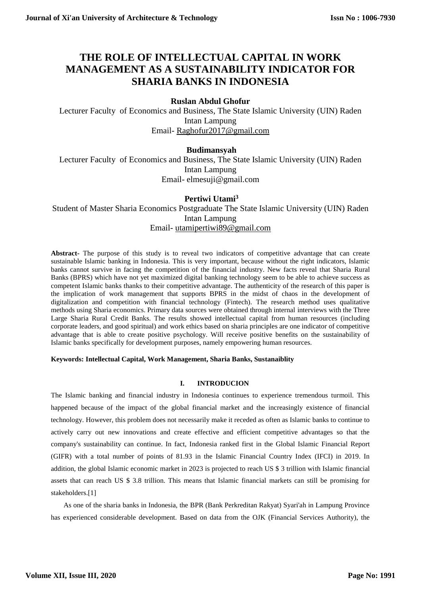# **THE ROLE OF INTELLECTUAL CAPITAL IN WORK MANAGEMENT AS A SUSTAINABILITY INDICATOR FOR SHARIA BANKS IN INDONESIA**

# **Ruslan Abdul Ghofur**

Lecturer Faculty of Economics and Business, The State Islamic University (UIN) Raden Intan Lampung Email- [Raghofur2017@gmail.com](mailto:Raghofur2017@gmail.com)

# **Budimansyah**

Lecturer Faculty of Economics and Business, The State Islamic University (UIN) Raden Intan Lampung Email- elmesuji@gmail.com

# **Pertiwi Utami<sup>3</sup>**

Student of Master Sharia Economics Postgraduate The State Islamic University (UIN) Raden Intan Lampung Email- [utamipertiwi89@gmail.com](mailto:utamipertiwi89@gmail.com)

**Abstract-** The purpose of this study is to reveal two indicators of competitive advantage that can create sustainable Islamic banking in Indonesia. This is very important, because without the right indicators, Islamic banks cannot survive in facing the competition of the financial industry. New facts reveal that Sharia Rural Banks (BPRS) which have not yet maximized digital banking technology seem to be able to achieve success as competent Islamic banks thanks to their competitive advantage. The authenticity of the research of this paper is the implication of work management that supports BPRS in the midst of chaos in the development of digitalization and competition with financial technology (Fintech). The research method uses qualitative methods using Sharia economics. Primary data sources were obtained through internal interviews with the Three Large Sharia Rural Credit Banks. The results showed intellectual capital from human resources (including corporate leaders, and good spiritual) and work ethics based on sharia principles are one indicator of competitive advantage that is able to create positive psychology. Will receive positive benefits on the sustainability of Islamic banks specifically for development purposes, namely empowering human resources.

### **Keywords: Intellectual Capital, Work Management, Sharia Banks, Sustanaiblity**

### **I. INTRODUCION**

The Islamic banking and financial industry in Indonesia continues to experience tremendous turmoil. This happened because of the impact of the global financial market and the increasingly existence of financial technology. However, this problem does not necessarily make it receded as often as Islamic banks to continue to actively carry out new innovations and create effective and efficient competitive advantages so that the company's sustainability can continue. In fact, Indonesia ranked first in the Global Islamic Financial Report (GIFR) with a total number of points of 81.93 in the Islamic Financial Country Index (IFCI) in 2019. In addition, the global Islamic economic market in 2023 is projected to reach US \$ 3 trillion with Islamic financial assets that can reach US \$ 3.8 trillion. This means that Islamic financial markets can still be promising for stakeholders.[1]

As one of the sharia banks in Indonesia, the BPR (Bank Perkreditan Rakyat) Syari'ah in Lampung Province has experienced considerable development. Based on data from the OJK (Financial Services Authority), the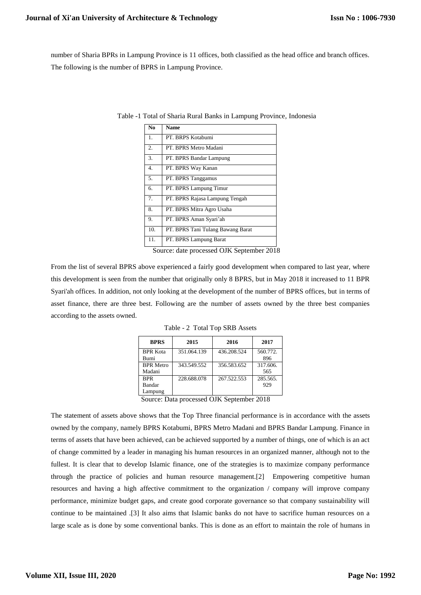number of Sharia BPRs in Lampung Province is 11 offices, both classified as the head office and branch offices. The following is the number of BPRS in Lampung Province.

| N <sub>0</sub> | <b>Name</b>                       |
|----------------|-----------------------------------|
| 1.             | PT. BRPS Kotabumi                 |
| 2.             | PT. BPRS Metro Madani             |
| 3.             | PT. BPRS Bandar Lampung           |
| 4.             | PT. BPRS Way Kanan                |
| 5.             | PT. BPRS Tanggamus                |
| б.             | PT. BPRS Lampung Timur            |
| 7.             | PT. BPRS Rajasa Lampung Tengah    |
| 8.             | PT. BPRS Mitra Agro Usaha         |
| 9.             | PT. BPRS Aman Syari'ah            |
| 10.            | PT. BPRS Tani Tulang Bawang Barat |
| 11.            | PT. BPRS Lampung Barat            |

Table -1 Total of Sharia Rural Banks in Lampung Province, Indonesia

Source: date processed OJK September 2018

From the list of several BPRS above experienced a fairly good development when compared to last year, where this development is seen from the number that originally only 8 BPRS, but in May 2018 it increased to 11 BPR Syari'ah offices. In addition, not only looking at the development of the number of BPRS offices, but in terms of asset finance, there are three best. Following are the number of assets owned by the three best companies according to the assets owned.

| <b>BPRS</b>                                                             | 2015        | 2016        | 2017     |  |  |
|-------------------------------------------------------------------------|-------------|-------------|----------|--|--|
| <b>BPR</b> Kota                                                         | 351.064.139 | 436.208.524 | 560.772. |  |  |
| Bumi                                                                    |             |             | 896      |  |  |
| <b>BPR</b> Metro                                                        | 343.549.552 | 356.583.652 | 317.606. |  |  |
| Madani                                                                  |             |             | 565      |  |  |
| <b>BPR</b>                                                              | 228.688.078 | 267.522.553 | 285.565. |  |  |
| Bandar                                                                  |             |             | 929      |  |  |
| Lampung                                                                 |             |             |          |  |  |
| $\mathfrak{a}$ . $\mathfrak{a}$<br>$\sim$ 0.10 $\sim$ 1.0 UV 0.1.1.0010 |             |             |          |  |  |

Table - 2 Total Top SRB Assets

Source: Data processed OJK September 2018

The statement of assets above shows that the Top Three financial performance is in accordance with the assets owned by the company, namely BPRS Kotabumi, BPRS Metro Madani and BPRS Bandar Lampung. Finance in terms of assets that have been achieved, can be achieved supported by a number of things, one of which is an act of change committed by a leader in managing his human resources in an organized manner, although not to the fullest. It is clear that to develop Islamic finance, one of the strategies is to maximize company performance through the practice of policies and human resource management.[2] Empowering competitive human resources and having a high affective commitment to the organization / company will improve company performance, minimize budget gaps, and create good corporate governance so that company sustainability will continue to be maintained .[3] It also aims that Islamic banks do not have to sacrifice human resources on a large scale as is done by some conventional banks. This is done as an effort to maintain the role of humans in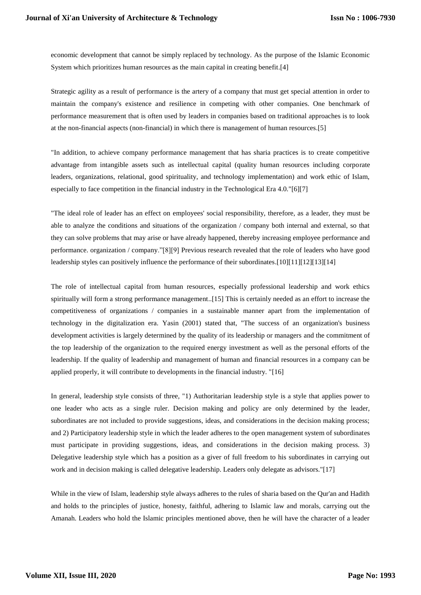economic development that cannot be simply replaced by technology. As the purpose of the Islamic Economic System which prioritizes human resources as the main capital in creating benefit.[4]

Strategic agility as a result of performance is the artery of a company that must get special attention in order to maintain the company's existence and resilience in competing with other companies. One benchmark of performance measurement that is often used by leaders in companies based on traditional approaches is to look at the non-financial aspects (non-financial) in which there is management of human resources.[5]

"In addition, to achieve company performance management that has sharia practices is to create competitive advantage from intangible assets such as intellectual capital (quality human resources including corporate leaders, organizations, relational, good spirituality, and technology implementation) and work ethic of Islam, especially to face competition in the financial industry in the Technological Era 4.0."[6][7]

"The ideal role of leader has an effect on employees' social responsibility, therefore, as a leader, they must be able to analyze the conditions and situations of the organization / company both internal and external, so that they can solve problems that may arise or have already happened, thereby increasing employee performance and performance. organization / company."[8][9] Previous research revealed that the role of leaders who have good leadership styles can positively influence the performance of their subordinates.[10][11][12][13][14]

The role of intellectual capital from human resources, especially professional leadership and work ethics spiritually will form a strong performance management..[15] This is certainly needed as an effort to increase the competitiveness of organizations / companies in a sustainable manner apart from the implementation of technology in the digitalization era. Yasin (2001) stated that, "The success of an organization's business development activities is largely determined by the quality of its leadership or managers and the commitment of the top leadership of the organization to the required energy investment as well as the personal efforts of the leadership. If the quality of leadership and management of human and financial resources in a company can be applied properly, it will contribute to developments in the financial industry. "[16]

In general, leadership style consists of three, "1) Authoritarian leadership style is a style that applies power to one leader who acts as a single ruler. Decision making and policy are only determined by the leader, subordinates are not included to provide suggestions, ideas, and considerations in the decision making process; and 2) Participatory leadership style in which the leader adheres to the open management system of subordinates must participate in providing suggestions, ideas, and considerations in the decision making process. 3) Delegative leadership style which has a position as a giver of full freedom to his subordinates in carrying out work and in decision making is called delegative leadership. Leaders only delegate as advisors."[17]

While in the view of Islam, leadership style always adheres to the rules of sharia based on the Qur'an and Hadith and holds to the principles of justice, honesty, faithful, adhering to Islamic law and morals, carrying out the Amanah. Leaders who hold the Islamic principles mentioned above, then he will have the character of a leader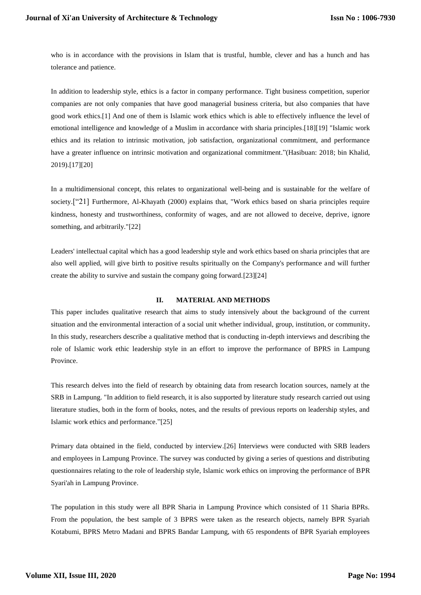who is in accordance with the provisions in Islam that is trustful, humble, clever and has a hunch and has tolerance and patience.

In addition to leadership style, ethics is a factor in company performance. Tight business competition, superior companies are not only companies that have good managerial business criteria, but also companies that have good work ethics.[1] And one of them is Islamic work ethics which is able to effectively influence the level of emotional intelligence and knowledge of a Muslim in accordance with sharia principles.[18][19] "Islamic work ethics and its relation to intrinsic motivation, job satisfaction, organizational commitment, and performance have a greater influence on intrinsic motivation and organizational commitment."(Hasibuan: 2018; bin Khalid, 2019).[17][20]

In a multidimensional concept, this relates to organizational well-being and is sustainable for the welfare of society.<sup>["21]</sup> Furthermore, Al-Khayath (2000) explains that, "Work ethics based on sharia principles require kindness, honesty and trustworthiness, conformity of wages, and are not allowed to deceive, deprive, ignore something, and arbitrarily."[22]

Leaders' intellectual capital which has a good leadership style and work ethics based on sharia principles that are also well applied, will give birth to positive results spiritually on the Company's performance and will further create the ability to survive and sustain the company going forward.[23][24]

#### **II. MATERIAL AND METHODS**

This paper includes qualitative research that aims to study intensively about the background of the current situation and the environmental interaction of a social unit whether individual, group, institution, or community**.** In this study, researchers describe a qualitative method that is conducting in-depth interviews and describing the role of Islamic work ethic leadership style in an effort to improve the performance of BPRS in Lampung Province.

This research delves into the field of research by obtaining data from research location sources, namely at the SRB in Lampung. "In addition to field research, it is also supported by literature study research carried out using literature studies, both in the form of books, notes, and the results of previous reports on leadership styles, and Islamic work ethics and performance."[25]

Primary data obtained in the field, conducted by interview.[26] Interviews were conducted with SRB leaders and employees in Lampung Province. The survey was conducted by giving a series of questions and distributing questionnaires relating to the role of leadership style, Islamic work ethics on improving the performance of BPR Syari'ah in Lampung Province.

The population in this study were all BPR Sharia in Lampung Province which consisted of 11 Sharia BPRs. From the population, the best sample of 3 BPRS were taken as the research objects, namely BPR Syariah Kotabumi, BPRS Metro Madani and BPRS Bandar Lampung, with 65 respondents of BPR Syariah employees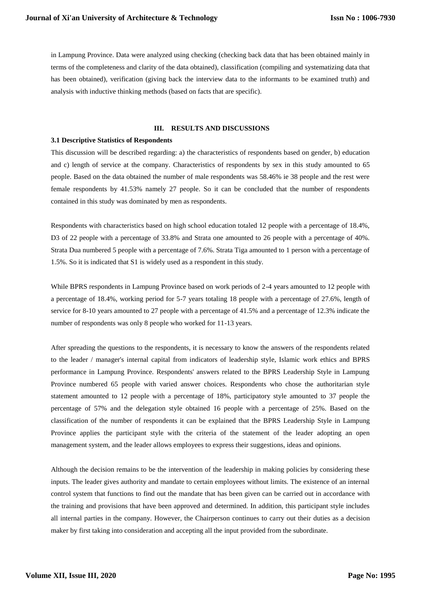in Lampung Province. Data were analyzed using checking (checking back data that has been obtained mainly in terms of the completeness and clarity of the data obtained), classification (compiling and systematizing data that has been obtained), verification (giving back the interview data to the informants to be examined truth) and analysis with inductive thinking methods (based on facts that are specific).

#### **III. RESULTS AND DISCUSSIONS**

### **3.1 Descriptive Statistics of Respondents**

This discussion will be described regarding: a) the characteristics of respondents based on gender, b) education and c) length of service at the company. Characteristics of respondents by sex in this study amounted to 65 people. Based on the data obtained the number of male respondents was 58.46% ie 38 people and the rest were female respondents by 41.53% namely 27 people. So it can be concluded that the number of respondents contained in this study was dominated by men as respondents.

Respondents with characteristics based on high school education totaled 12 people with a percentage of 18.4%, D3 of 22 people with a percentage of 33.8% and Strata one amounted to 26 people with a percentage of 40%. Strata Dua numbered 5 people with a percentage of 7.6%. Strata Tiga amounted to 1 person with a percentage of 1.5%. So it is indicated that S1 is widely used as a respondent in this study.

While BPRS respondents in Lampung Province based on work periods of 2-4 years amounted to 12 people with a percentage of 18.4%, working period for 5-7 years totaling 18 people with a percentage of 27.6%, length of service for 8-10 years amounted to 27 people with a percentage of 41.5% and a percentage of 12.3% indicate the number of respondents was only 8 people who worked for 11-13 years.

After spreading the questions to the respondents, it is necessary to know the answers of the respondents related to the leader / manager's internal capital from indicators of leadership style, Islamic work ethics and BPRS performance in Lampung Province. Respondents' answers related to the BPRS Leadership Style in Lampung Province numbered 65 people with varied answer choices. Respondents who chose the authoritarian style statement amounted to 12 people with a percentage of 18%, participatory style amounted to 37 people the percentage of 57% and the delegation style obtained 16 people with a percentage of 25%. Based on the classification of the number of respondents it can be explained that the BPRS Leadership Style in Lampung Province applies the participant style with the criteria of the statement of the leader adopting an open management system, and the leader allows employees to express their suggestions, ideas and opinions.

Although the decision remains to be the intervention of the leadership in making policies by considering these inputs. The leader gives authority and mandate to certain employees without limits. The existence of an internal control system that functions to find out the mandate that has been given can be carried out in accordance with the training and provisions that have been approved and determined. In addition, this participant style includes all internal parties in the company. However, the Chairperson continues to carry out their duties as a decision maker by first taking into consideration and accepting all the input provided from the subordinate.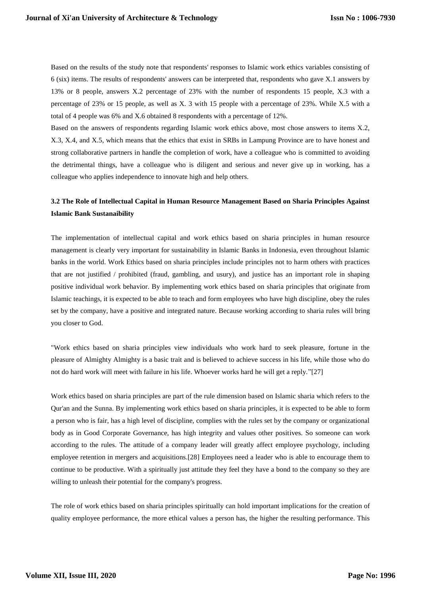Based on the results of the study note that respondents' responses to Islamic work ethics variables consisting of 6 (six) items. The results of respondents' answers can be interpreted that, respondents who gave X.1 answers by 13% or 8 people, answers X.2 percentage of 23% with the number of respondents 15 people, X.3 with a percentage of 23% or 15 people, as well as X. 3 with 15 people with a percentage of 23%. While X.5 with a total of 4 people was 6% and X.6 obtained 8 respondents with a percentage of 12%.

Based on the answers of respondents regarding Islamic work ethics above, most chose answers to items X.2, X.3, X.4, and X.5, which means that the ethics that exist in SRBs in Lampung Province are to have honest and strong collaborative partners in handle the completion of work, have a colleague who is committed to avoiding the detrimental things, have a colleague who is diligent and serious and never give up in working, has a colleague who applies independence to innovate high and help others.

# **3.2 The Role of Intellectual Capital in Human Resource Management Based on Sharia Principles Against Islamic Bank Sustanaibility**

The implementation of intellectual capital and work ethics based on sharia principles in human resource management is clearly very important for sustainability in Islamic Banks in Indonesia, even throughout Islamic banks in the world. Work Ethics based on sharia principles include principles not to harm others with practices that are not justified / prohibited (fraud, gambling, and usury), and justice has an important role in shaping positive individual work behavior. By implementing work ethics based on sharia principles that originate from Islamic teachings, it is expected to be able to teach and form employees who have high discipline, obey the rules set by the company, have a positive and integrated nature. Because working according to sharia rules will bring you closer to God.

"Work ethics based on sharia principles view individuals who work hard to seek pleasure, fortune in the pleasure of Almighty Almighty is a basic trait and is believed to achieve success in his life, while those who do not do hard work will meet with failure in his life. Whoever works hard he will get a reply."[27]

Work ethics based on sharia principles are part of the rule dimension based on Islamic sharia which refers to the Qur'an and the Sunna. By implementing work ethics based on sharia principles, it is expected to be able to form a person who is fair, has a high level of discipline, complies with the rules set by the company or organizational body as in Good Corporate Governance, has high integrity and values other positives. So someone can work according to the rules. The attitude of a company leader will greatly affect employee psychology, including employee retention in mergers and acquisitions.[28] Employees need a leader who is able to encourage them to continue to be productive. With a spiritually just attitude they feel they have a bond to the company so they are willing to unleash their potential for the company's progress.

The role of work ethics based on sharia principles spiritually can hold important implications for the creation of quality employee performance, the more ethical values a person has, the higher the resulting performance. This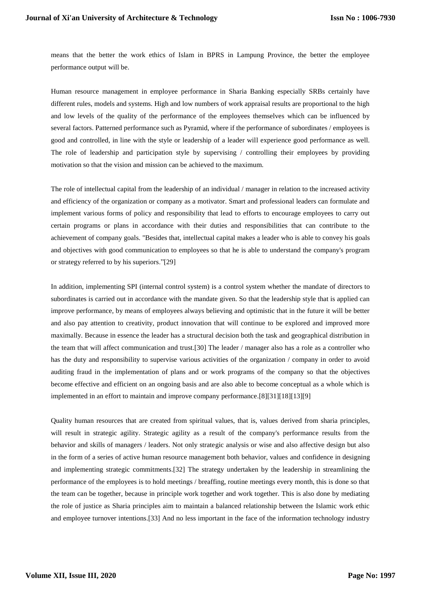means that the better the work ethics of Islam in BPRS in Lampung Province, the better the employee performance output will be.

Human resource management in employee performance in Sharia Banking especially SRBs certainly have different rules, models and systems. High and low numbers of work appraisal results are proportional to the high and low levels of the quality of the performance of the employees themselves which can be influenced by several factors. Patterned performance such as Pyramid, where if the performance of subordinates / employees is good and controlled, in line with the style or leadership of a leader will experience good performance as well. The role of leadership and participation style by supervising / controlling their employees by providing motivation so that the vision and mission can be achieved to the maximum.

The role of intellectual capital from the leadership of an individual / manager in relation to the increased activity and efficiency of the organization or company as a motivator. Smart and professional leaders can formulate and implement various forms of policy and responsibility that lead to efforts to encourage employees to carry out certain programs or plans in accordance with their duties and responsibilities that can contribute to the achievement of company goals. "Besides that, intellectual capital makes a leader who is able to convey his goals and objectives with good communication to employees so that he is able to understand the company's program or strategy referred to by his superiors."[29]

In addition, implementing SPI (internal control system) is a control system whether the mandate of directors to subordinates is carried out in accordance with the mandate given. So that the leadership style that is applied can improve performance, by means of employees always believing and optimistic that in the future it will be better and also pay attention to creativity, product innovation that will continue to be explored and improved more maximally. Because in essence the leader has a structural decision both the task and geographical distribution in the team that will affect communication and trust.[30] The leader / manager also has a role as a controller who has the duty and responsibility to supervise various activities of the organization / company in order to avoid auditing fraud in the implementation of plans and or work programs of the company so that the objectives become effective and efficient on an ongoing basis and are also able to become conceptual as a whole which is implemented in an effort to maintain and improve company performance.[8][31][18][13][9]

Quality human resources that are created from spiritual values, that is, values derived from sharia principles, will result in strategic agility. Strategic agility as a result of the company's performance results from the behavior and skills of managers / leaders. Not only strategic analysis or wise and also affective design but also in the form of a series of active human resource management both behavior, values and confidence in designing and implementing strategic commitments.[32] The strategy undertaken by the leadership in streamlining the performance of the employees is to hold meetings / breaffing, routine meetings every month, this is done so that the team can be together, because in principle work together and work together. This is also done by mediating the role of justice as Sharia principles aim to maintain a balanced relationship between the Islamic work ethic and employee turnover intentions.[33] And no less important in the face of the information technology industry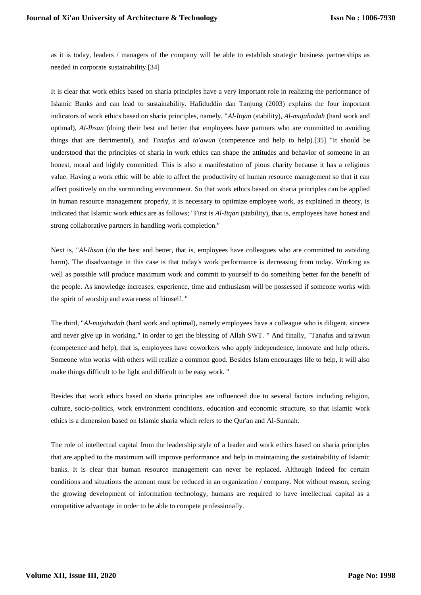as it is today, leaders / managers of the company will be able to establish strategic business partnerships as needed in corporate sustainability.[34]

It is clear that work ethics based on sharia principles have a very important role in realizing the performance of Islamic Banks and can lead to sustainability. Hafiduddin dan Tanjung (2003) explains the four important indicators of work ethics based on sharia principles, namely, "*Al-Itqan* (stability), *Al-mujahadah* (hard work and optimal), *Al-Ihsan* (doing their best and better that employees have partners who are committed to avoiding things that are detrimental), and *Tanafus* and *ta'awun* (competence and help to help).[35] "It should be understood that the principles of sharia in work ethics can shape the attitudes and behavior of someone in an honest, moral and highly committed. This is also a manifestation of pious charity because it has a religious value. Having a work ethic will be able to affect the productivity of human resource management so that it can affect positively on the surrounding environment. So that work ethics based on sharia principles can be applied in human resource management properly, it is necessary to optimize employee work, as explained in theory, is indicated that Islamic work ethics are as follows; "First is *Al-Itqan* (stability), that is, employees have honest and strong collaborative partners in handling work completion."

Next is, "*Al-Ihsan* (do the best and better, that is, employees have colleagues who are committed to avoiding harm). The disadvantage in this case is that today's work performance is decreasing from today. Working as well as possible will produce maximum work and commit to yourself to do something better for the benefit of the people. As knowledge increases, experience, time and enthusiasm will be possessed if someone works with the spirit of worship and awareness of himself. "

The third, "*Al-mujahadah* (hard work and optimal), namely employees have a colleague who is diligent, sincere and never give up in working." in order to get the blessing of Allah SWT. " And finally, "Tanafus and ta'awun (competence and help), that is, employees have coworkers who apply independence, innovate and help others. Someone who works with others will realize a common good. Besides Islam encourages life to help, it will also make things difficult to be light and difficult to be easy work. "

Besides that work ethics based on sharia principles are influenced due to several factors including religion, culture, socio-politics, work environment conditions, education and economic structure, so that Islamic work ethics is a dimension based on Islamic sharia which refers to the Qur'an and Al-Sunnah.

The role of intellectual capital from the leadership style of a leader and work ethics based on sharia principles that are applied to the maximum will improve performance and help in maintaining the sustainability of Islamic banks. It is clear that human resource management can never be replaced. Although indeed for certain conditions and situations the amount must be reduced in an organization / company. Not without reason, seeing the growing development of information technology, humans are required to have intellectual capital as a competitive advantage in order to be able to compete professionally.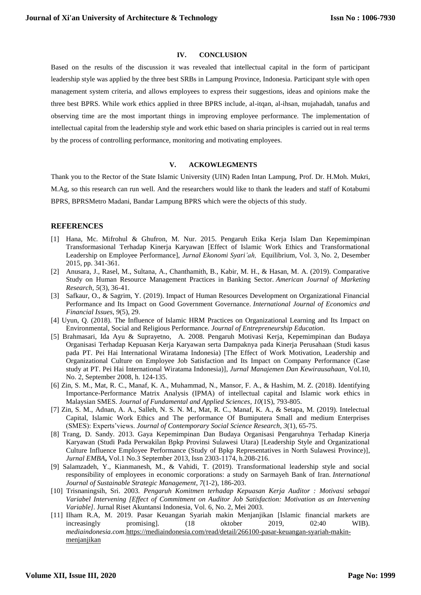### **IV. CONCLUSION**

Based on the results of the discussion it was revealed that intellectual capital in the form of participant leadership style was applied by the three best SRBs in Lampung Province, Indonesia. Participant style with open management system criteria, and allows employees to express their suggestions, ideas and opinions make the three best BPRS. While work ethics applied in three BPRS include, al-itqan, al-ihsan, mujahadah, tanafus and observing time are the most important things in improving employee performance. The implementation of intellectual capital from the leadership style and work ethic based on sharia principles is carried out in real terms by the process of controlling performance, monitoring and motivating employees.

#### **V. ACKOWLEGMENTS**

Thank you to the Rector of the State Islamic University (UIN) Raden Intan Lampung, Prof. Dr. H.Moh. Mukri, M.Ag, so this research can run well. And the researchers would like to thank the leaders and staff of Kotabumi BPRS, BPRSMetro Madani, Bandar Lampung BPRS which were the objects of this study.

#### **REFERENCES**

- [1] Hana, Mc. Mifrohul & Ghufron, M. Nur. 2015. Pengaruh Etika Kerja Islam Dan Kepemimpinan Transformasional Terhadap Kinerja Karyawan [Effect of Islamic Work Ethics and Transformational Leadership on Employee Performance], *Jurnal Ekonomi Syari'ah,* Equilibrium, Vol. 3, No. 2, Desember 2015, pp. 341-361.
- [2] Anusara, J., Rasel, M., Sultana, A., Chanthamith, B., Kabir, M. H., & Hasan, M. A. (2019). Comparative Study on Human Resource Management Practices in Banking Sector. *American Journal of Marketing Research*, *5*(3), 36-41.
- [3] Safkaur, O., & Sagrim, Y. (2019). Impact of Human Resources Development on Organizational Financial Performance and Its Impact on Good Government Governance. *International Journal of Economics and Financial Issues*, *9*(5), 29.
- [4] Uyun, Q. (2018). The Influence of Islamic HRM Practices on Organizational Learning and Its Impact on Environmental, Social and Religious Performance. *Journal of Entrepreneurship Education*.
- [5] Brahmasari, Ida Ayu & Suprayetno, A. 2008. Pengaruh Motivasi Kerja, Kepemimpinan dan Budaya Organisasi Terhadap Kepuasan Kerja Karyawan serta Dampaknya pada Kinerja Perusahaan (Studi kasus pada PT. Pei Hai International Wiratama Indonesia) [The Effect of Work Motivation, Leadership and Organizational Culture on Employee Job Satisfaction and Its Impact on Company Performance (Case study at PT. Pei Hai International Wiratama Indonesia)], *Jurnal Manajemen Dan Kewirausahaan*, Vol.10, No. 2, September 2008, h. 124-135.
- [6] Zin, S. M., Mat, R. C., Manaf, K. A., Muhammad, N., Mansor, F. A., & Hashim, M. Z. (2018). Identifying Importance-Performance Matrix Analysis (IPMA) of intellectual capital and Islamic work ethics in Malaysian SMES. *Journal of Fundamental and Applied Sciences*, *10*(1S), 793-805.
- [7] Zin, S. M., Adnan, A. A., Salleh, N. S. N. M., Mat, R. C., Manaf, K. A., & Setapa, M. (2019). Intelectual Capital, Islamic Work Ethics and The performance Of Bumiputera Small and medium Enterprises (SMES): Experts'views. *Journal of Contemporary Social Science Research*, *3*(1), 65-75.
- [8] Trang, D. Sandy. 2013. Gaya Kepemimpinan Dan Budaya Organisasi Pengaruhnya Terhadap Kinerja Karyawan (Studi Pada Perwakilan Bpkp Provinsi Sulawesi Utara) [Leadership Style and Organizational Culture Influence Employee Performance (Study of Bpkp Representatives in North Sulawesi Province)], *Jurnal EMBA***,** Vol.1 No.3 September 2013, Issn 2303-1174, h.208-216.
- [9] Salamzadeh, Y., Kianmanesh, M., & Vahidi, T. (2019). Transformational leadership style and social responsibility of employees in economic corporations: a study on Sarmayeh Bank of Iran. *International Journal of Sustainable Strategic Management*, *7*(1-2), 186-203.
- [10] Trisnaningsih, Sri. 2003. *Pengaruh Komitmen terhadap Kepuasan Kerja Auditor : Motivasi sebagai Variabel Intervening [Effect of Commitment on Auditor Job Satisfaction: Motivation as an Intervening Variable].* Jurnal Riset Akuntansi Indonesia, Vol. 6, No. 2, Mei 2003.
- [11] Ilham R.A, M. 2019. Pasar Keuangan Syariah makin Menjanjikan [Islamic financial markets are increasingly promising]. (18 oktober 2019, 02:40 WIB). *mediaindonesia.com*[.https://mediaindonesia.com/read/detail/266100-pasar-keuangan-syariah-makin](https://mediaindonesia.com/read/detail/266100-pasar-keuangan-syariah-makin-menjanjikan)[menjanjikan](https://mediaindonesia.com/read/detail/266100-pasar-keuangan-syariah-makin-menjanjikan)